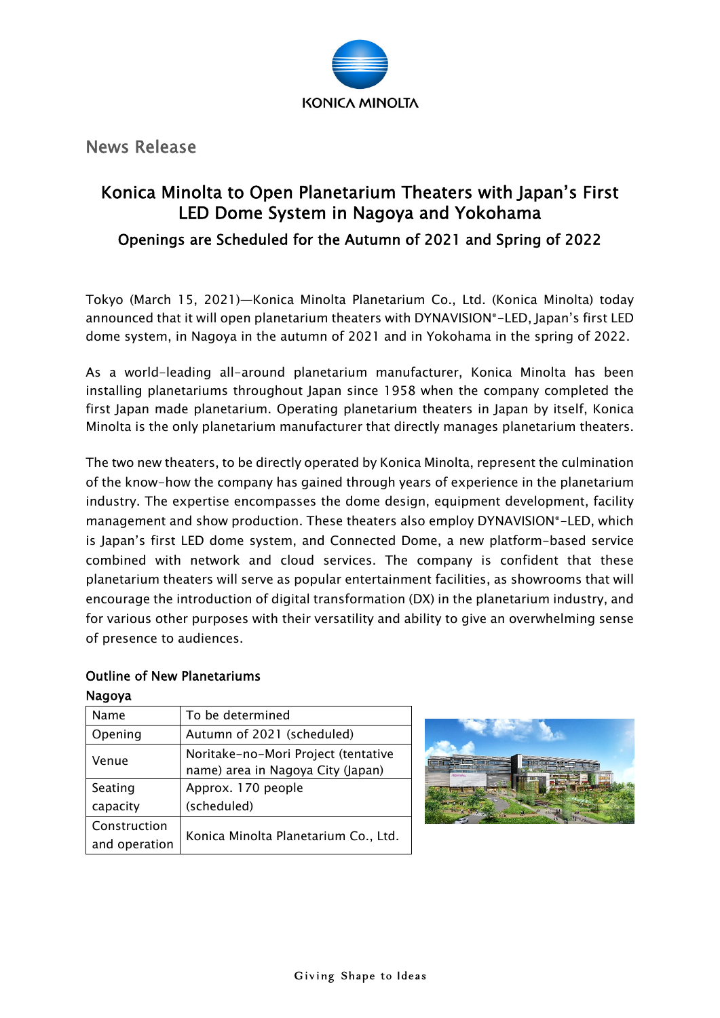

News Release

# Konica Minolta to Open Planetarium Theaters with Japan's First LED Dome System in Nagoya and Yokohama Openings are Scheduled for the Autumn of 2021 and Spring of 2022

Tokyo (March 15, 2021)—Konica Minolta Planetarium Co., Ltd. (Konica Minolta) today announced that it will open planetarium theaters with DYNAVISION®-LED, Japan's first LED dome system, in Nagoya in the autumn of 2021 and in Yokohama in the spring of 2022.

As a world-leading all-around planetarium manufacturer, Konica Minolta has been installing planetariums throughout Japan since 1958 when the company completed the first Japan made planetarium. Operating planetarium theaters in Japan by itself, Konica Minolta is the only planetarium manufacturer that directly manages planetarium theaters.

The two new theaters, to be directly operated by Konica Minolta, represent the culmination of the know-how the company has gained through years of experience in the planetarium industry. The expertise encompasses the dome design, equipment development, facility management and show production. These theaters also employ DYNAVISION®-LED, which is Japan's first LED dome system, and Connected Dome, a new platform-based service combined with network and cloud services. The company is confident that these planetarium theaters will serve as popular entertainment facilities, as showrooms that will encourage the introduction of digital transformation (DX) in the planetarium industry, and for various other purposes with their versatility and ability to give an overwhelming sense of presence to audiences.

#### Outline of New Planetariums Nagoya

| Name          | To be determined                     |
|---------------|--------------------------------------|
| Opening       | Autumn of 2021 (scheduled)           |
| Venue         | Noritake-no-Mori Project (tentative  |
|               | name) area in Nagoya City (Japan)    |
| Seating       | Approx. 170 people                   |
| capacity      | (scheduled)                          |
| Construction  | Konica Minolta Planetarium Co., Ltd. |
| and operation |                                      |